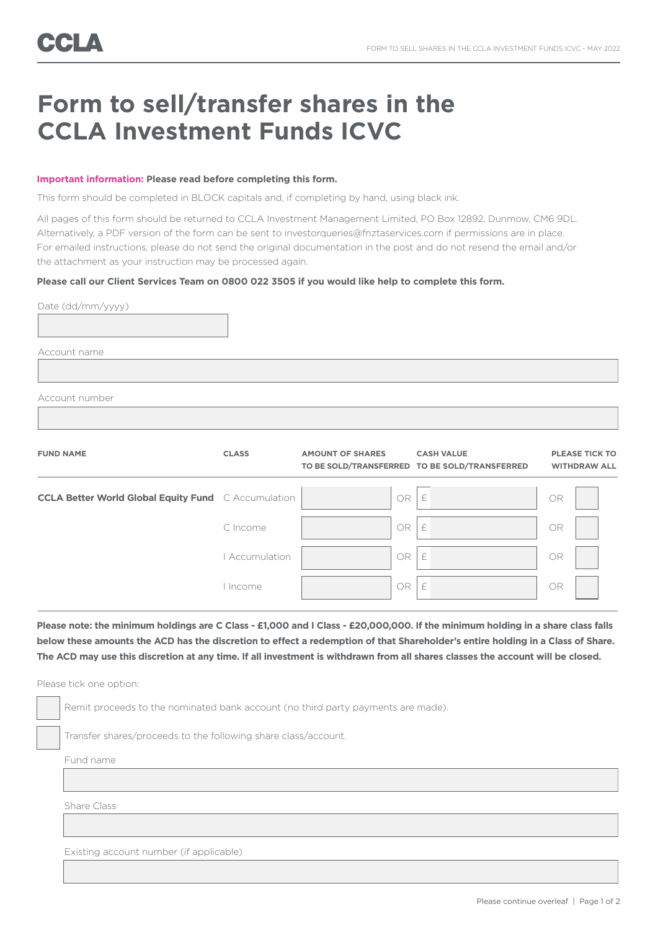## **Form to sell/transfer shares in the CCLA Investment Funds ICVC**

## **Important information: Please read before completing this form.**

This form should be completed in BLOCK capitals and, if completing by hand, using black ink.

All pages of this form should be returned to CCLA Investment Management Limited, PO Box 12892, Dunmow, CM6 9DL. Alternatively, a PDF version of the form can be sent to investorqueries@fnztaservices.com if permissions are in place. For emailed instructions, please do not send the original documentation in the post and do not resend the email and/or the attachment as your instruction may be processed again.

## **Please call our Client Services Team on 0800 022 3505 if you would like help to complete this form.**

| Date (dd/mm/yyyy)                                          |                |                         |                                                                    |                                              |
|------------------------------------------------------------|----------------|-------------------------|--------------------------------------------------------------------|----------------------------------------------|
|                                                            |                |                         |                                                                    |                                              |
| Account name                                               |                |                         |                                                                    |                                              |
|                                                            |                |                         |                                                                    |                                              |
| Account number                                             |                |                         |                                                                    |                                              |
|                                                            |                |                         |                                                                    |                                              |
| <b>FUND NAME</b>                                           | <b>CLASS</b>   | <b>AMOUNT OF SHARES</b> | <b>CASH VALUE</b><br>TO BE SOLD/TRANSFERRED TO BE SOLD/TRANSFERRED | <b>PLEASE TICK TO</b><br><b>WITHDRAW ALL</b> |
| <b>CCLA Better World Global Equity Fund</b> C Accumulation |                | $OR$ $E$                |                                                                    | OR                                           |
|                                                            | C Income       | $OR$ $E$                |                                                                    | <b>OR</b>                                    |
|                                                            | I Accumulation | $OR$ $E$                |                                                                    | <b>OR</b>                                    |
|                                                            | I Income       | $OR$ $E$                |                                                                    | <b>OR</b>                                    |

**Please note: the minimum holdings are C Class - £1,000 and I Class - £20,000,000. If the minimum holding in a share class falls below these amounts the ACD has the discretion to effect a redemption of that Shareholder's entire holding in a Class of Share. The ACD may use this discretion at any time. If all investment is withdrawn from all shares classes the account will be closed.** 

Please tick one option:

Remit proceeds to the nominated bank account (no third party payments are made).

Transfer shares/proceeds to the following share class/account.

Fund name

Share Class

Existing account number (if applicable)